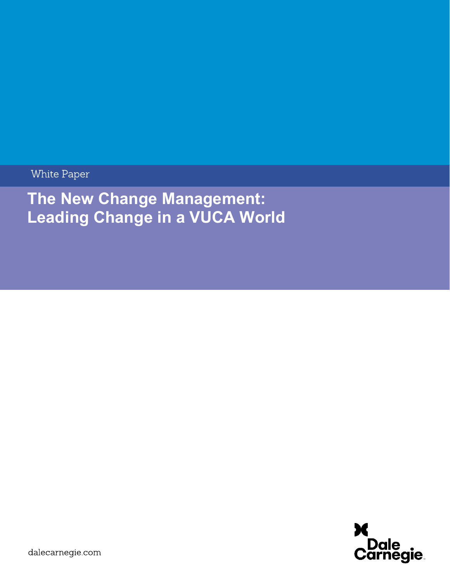White Paper

# The New Change Management: Leading Change in a VUCA World

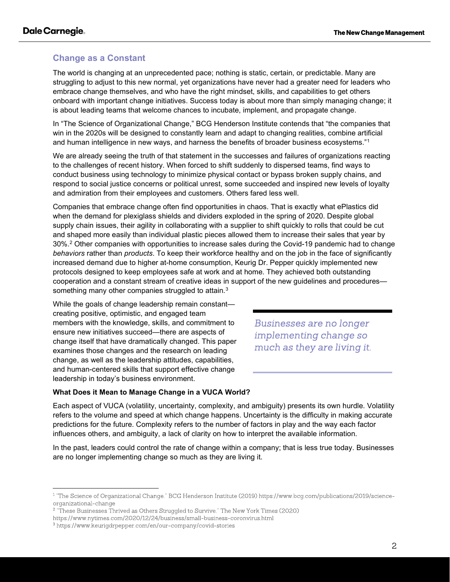# Change as a Constant

The world is changing at an unprecedented pace; nothing is static, certain, or predictable. Many are struggling to adjust to this new normal, yet organizations have never had a greater need for leaders who embrace change themselves, and who have the right mindset, skills, and capabilities to get others onboard with important change initiatives. Success today is about more than simply managing change; it is about leading teams that welcome chances to incubate, implement, and propagate change.

In "The Science of Organizational Change," BCG Henderson Institute contends that "the companies that win in the 2020s will be designed to constantly learn and adapt to changing realities, combine artificial and human intelligence in new ways, and harness the benefits of broader business ecosystems."<sup>1</sup>

We are already seeing the truth of that statement in the successes and failures of organizations reacting to the challenges of recent history. When forced to shift suddenly to dispersed teams, find ways to conduct business using technology to minimize physical contact or bypass broken supply chains, and respond to social justice concerns or political unrest, some succeeded and inspired new levels of loyalty and admiration from their employees and customers. Others fared less well.

Companies that embrace change often find opportunities in chaos. That is exactly what ePlastics did when the demand for plexiglass shields and dividers exploded in the spring of 2020. Despite global supply chain issues, their agility in collaborating with a supplier to shift quickly to rolls that could be cut and shaped more easily than individual plastic pieces allowed them to increase their sales that year by 30%.<sup>2</sup> Other companies with opportunities to increase sales during the Covid-19 pandemic had to change behaviors rather than products. To keep their workforce healthy and on the job in the face of significantly increased demand due to higher at-home consumption, Keurig Dr. Pepper quickly implemented new protocols designed to keep employees safe at work and at home. They achieved both outstanding cooperation and a constant stream of creative ideas in support of the new guidelines and procedures something many other companies struggled to attain.<sup>3</sup>

While the goals of change leadership remain constant creating positive, optimistic, and engaged team members with the knowledge, skills, and commitment to ensure new initiatives succeed—there are aspects of change itself that have dramatically changed. This paper examines those changes and the research on leading change, as well as the leadership attitudes, capabilities, and human-centered skills that support effective change leadership in today's business environment.

Businesses are no longer implementing change so much as they are living it.

#### What Does it Mean to Manage Change in a VUCA World?

Each aspect of VUCA (volatility, uncertainty, complexity, and ambiguity) presents its own hurdle. Volatility refers to the volume and speed at which change happens. Uncertainty is the difficulty in making accurate predictions for the future. Complexity refers to the number of factors in play and the way each factor influences others, and ambiguity, a lack of clarity on how to interpret the available information.

In the past, leaders could control the rate of change within a company; that is less true today. Businesses are no longer implementing change so much as they are living it.

<sup>&</sup>lt;sup>1</sup> "The Science of Organizational Change." BCG Henderson Institute (2019) https://www.bcg.com/publications/2019/scienceorganizational-change

<sup>&</sup>lt;sup>2</sup> "These Businesses Thrived as Others Struggled to Survive." The New York Times (2020)

https://www.nytimes.com/2020/12/24/business/small-business-coronvirus.html

<sup>&</sup>lt;sup>3</sup> https://www.keurigdrpepper.com/en/our-company/covid-stories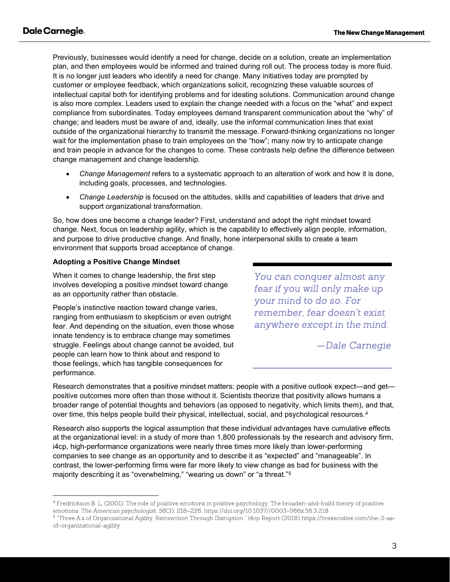Previously, businesses would identify a need for change, decide on a solution, create an implementation plan, and then employees would be informed and trained during roll out. The process today is more fluid. It is no longer just leaders who identify a need for change. Many initiatives today are prompted by customer or employee feedback, which organizations solicit, recognizing these valuable sources of intellectual capital both for identifying problems and for ideating solutions. Communication around change is also more complex. Leaders used to explain the change needed with a focus on the "what" and expect compliance from subordinates. Today employees demand transparent communication about the "why" of change; and leaders must be aware of and, ideally, use the informal communication lines that exist outside of the organizational hierarchy to transmit the message. Forward-thinking organizations no longer wait for the implementation phase to train employees on the "how"; many now try to anticipate change and train people in advance for the changes to come. These contrasts help define the difference between change management and change leadership.

- Change Management refers to a systematic approach to an alteration of work and how it is done, including goals, processes, and technologies.
- Change Leadership is focused on the attitudes, skills and capabilities of leaders that drive and support organizational transformation.

So, how does one become a change leader? First, understand and adopt the right mindset toward change. Next, focus on leadership agility, which is the capability to effectively align people, information, and purpose to drive productive change. And finally, hone interpersonal skills to create a team environment that supports broad acceptance of change.

#### Adopting a Positive Change Mindset

When it comes to change leadership, the first step involves developing a positive mindset toward change as an opportunity rather than obstacle.

People's instinctive reaction toward change varies, ranging from enthusiasm to skepticism or even outright fear. And depending on the situation, even those whose innate tendency is to embrace change may sometimes struggle. Feelings about change cannot be avoided, but people can learn how to think about and respond to those feelings, which has tangible consequences for performance.

You can conquer almost any fear if you will only make up your mind to do so. For remember, fear doesn't exist anywhere except in the mind.

-Dale Carnegie

Research demonstrates that a positive mindset matters: people with a positive outlook expect—and get positive outcomes more often than those without it. Scientists theorize that positivity allows humans a broader range of potential thoughts and behaviors (as opposed to negativity, which limits them), and that, over time, this helps people build their physical, intellectual, social, and psychological resources.<sup>4</sup>

Research also supports the logical assumption that these individual advantages have cumulative effects at the organizational level: in a study of more than 1,800 professionals by the research and advisory firm, i4cp, high-performance organizations were nearly three times more likely than lower-performing companies to see change as an opportunity and to describe it as "expected" and "manageable". In contrast, the lower-performing firms were far more likely to view change as bad for business with the majority describing it as "overwhelming," "wearing us down" or "a threat."<sup>5</sup>

<sup>&</sup>lt;sup>4</sup> Fredrickson B. L. (2001). The role of positive emotions in positive psychology. The broaden-and-build theory of positive emotions. The American psychologist, 56(3), 218-226. https://doi.org/10.1037//0003-066x.56.3.218

<sup>&</sup>lt;sup>5</sup> "Three A's of Organizational Agility: Reinvention Through Disruption." i4cp Report (2018) https://hrexecutive.com/the-3-asof-organizational-agility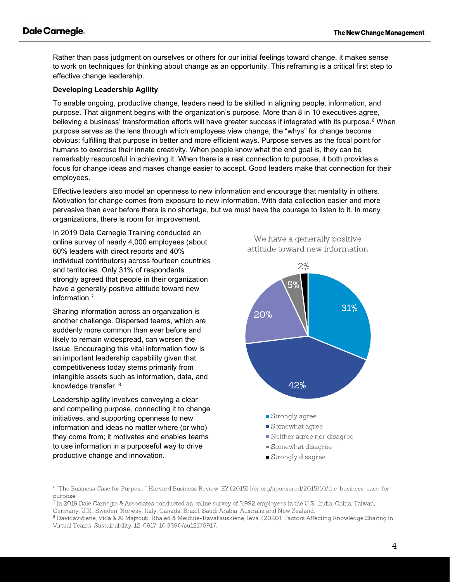Rather than pass judgment on ourselves or others for our initial feelings toward change, it makes sense to work on techniques for thinking about change as an opportunity. This reframing is a critical first step to effective change leadership.

### Developing Leadership Agility

To enable ongoing, productive change, leaders need to be skilled in aligning people, information, and purpose. That alignment begins with the organization's purpose. More than 8 in 10 executives agree, believing a business' transformation efforts will have greater success if integrated with its purpose.<sup>6</sup> When purpose serves as the lens through which employees view change, the "whys" for change become obvious: fulfilling that purpose in better and more efficient ways. Purpose serves as the focal point for humans to exercise their innate creativity. When people know what the end goal is, they can be remarkably resourceful in achieving it. When there is a real connection to purpose, it both provides a focus for change ideas and makes change easier to accept. Good leaders make that connection for their employees.

Effective leaders also model an openness to new information and encourage that mentality in others. Motivation for change comes from exposure to new information. With data collection easier and more pervasive than ever before there is no shortage, but we must have the courage to listen to it. In many organizations, there is room for improvement.

In 2019 Dale Carnegie Training conducted an online survey of nearly 4,000 employees (about 60% leaders with direct reports and 40% individual contributors) across fourteen countries and territories. Only 31% of respondents strongly agreed that people in their organization have a generally positive attitude toward new information.<sup>7</sup>

Sharing information across an organization is another challenge. Dispersed teams, which are suddenly more common than ever before and likely to remain widespread, can worsen the issue. Encouraging this vital information flow is an important leadership capability given that competitiveness today stems primarily from intangible assets such as information, data, and knowledge transfer. <sup>8</sup>

Leadership agility involves conveying a clear and compelling purpose, connecting it to change initiatives, and supporting openness to new information and ideas no matter where (or who) they come from; it motivates and enables teams to use information in a purposeful way to drive productive change and innovation.

We have a generally positive attitude toward new information



<sup>&</sup>lt;sup>6</sup> "The Business Case for Purpose." Harvard Business Review, EY (2015) hbr.org/sponsored/2015/10/the-business-case-forpurpose.

<sup>7</sup> In 2019 Dale Carnegie & Associates conducted an online survey of 3,992 employees in the U.S., India, China, Taiwan, Germany, U.K., Sweden, Norway, Italy, Canada, Brazil, Saudi Arabia, Australia and New Zealand.

<sup>&</sup>lt;sup>8</sup> Davidavičienė, Vida & Al Majzoub, Khaled & Meidute-Kavaliauskiene, Ieva. (2020). Factors Affecting Knowledge Sharing in Virtual Teams. Sustainability. 12. 6917. 10.3390/su12176917.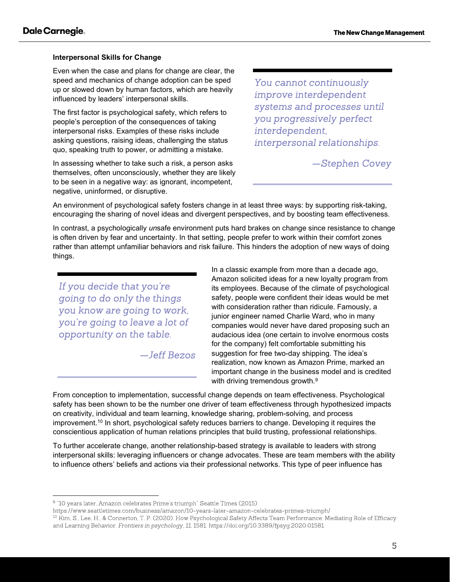#### Interpersonal Skills for Change

Even when the case and plans for change are clear, the speed and mechanics of change adoption can be sped up or slowed down by human factors, which are heavily influenced by leaders' interpersonal skills.

The first factor is psychological safety, which refers to people's perception of the consequences of taking interpersonal risks. Examples of these risks include asking questions, raising ideas, challenging the status quo, speaking truth to power, or admitting a mistake.

In assessing whether to take such a risk, a person asks themselves, often unconsciously, whether they are likely to be seen in a negative way: as ignorant, incompetent, negative, uninformed, or disruptive.

You cannot continuously improve interdependent systems and processes until you progressively perfect interdependent, interpersonal relationships.

-Stephen Covey

An environment of psychological safety fosters change in at least three ways: by supporting risk-taking, encouraging the sharing of novel ideas and divergent perspectives, and by boosting team effectiveness.

In contrast, a psychologically unsafe environment puts hard brakes on change since resistance to change is often driven by fear and uncertainty. In that setting, people prefer to work within their comfort zones rather than attempt unfamiliar behaviors and risk failure. This hinders the adoption of new ways of doing things.

If you decide that you're going to do only the things you know are going to work, you're going to leave a lot of opportunity on the table.

 $-$  Jeff Bezos

In a classic example from more than a decade ago, Amazon solicited ideas for a new loyalty program from its employees. Because of the climate of psychological safety, people were confident their ideas would be met with consideration rather than ridicule. Famously, a junior engineer named Charlie Ward, who in many companies would never have dared proposing such an audacious idea (one certain to involve enormous costs for the company) felt comfortable submitting his suggestion for free two-day shipping. The idea's realization, now known as Amazon Prime, marked an important change in the business model and is credited with driving tremendous growth.<sup>9</sup>

From conception to implementation, successful change depends on team effectiveness. Psychological safety has been shown to be the number one driver of team effectiveness through hypothesized impacts on creativity, individual and team learning, knowledge sharing, problem-solving, and process improvement.<sup>10</sup> In short, psychological safety reduces barriers to change. Developing it requires the conscientious application of human relations principles that build trusting, professional relationships.

To further accelerate change, another relationship-based strategy is available to leaders with strong interpersonal skills: leveraging influencers or change advocates. These are team members with the ability to influence others' beliefs and actions via their professional networks. This type of peer influence has

https://www.seattletimes.com/business/amazon/10-years-later-amazon-celebrates-primes-triumph/

<sup>10</sup> Kim, S., Lee, H., & Connerton, T. P. (2020). How Psychological Safety Affects Team Performance: Mediating Role of Efficacy and Learning Behavior. Frontiers in psychology, 11, 1581. https://doi.org/10.3389/fpsyg.2020.01581

<sup>&</sup>lt;sup>9</sup> "10 years later, Amazon celebrates Prime's triumph" Seattle Times (2015)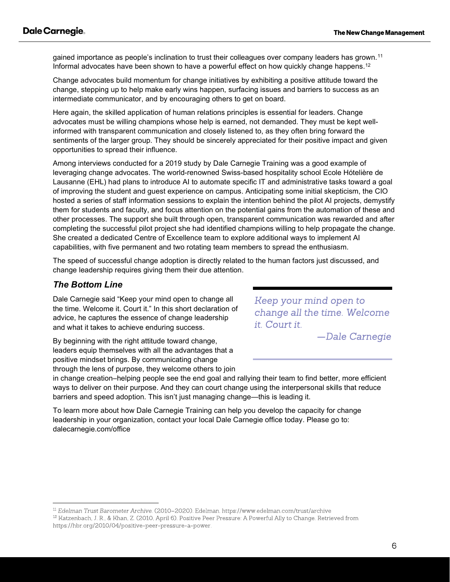gained importance as people's inclination to trust their colleagues over company leaders has grown.<sup>11</sup> Informal advocates have been shown to have a powerful effect on how quickly change happens.<sup>12</sup>

Change advocates build momentum for change initiatives by exhibiting a positive attitude toward the change, stepping up to help make early wins happen, surfacing issues and barriers to success as an intermediate communicator, and by encouraging others to get on board.

Here again, the skilled application of human relations principles is essential for leaders. Change advocates must be willing champions whose help is earned, not demanded. They must be kept wellinformed with transparent communication and closely listened to, as they often bring forward the sentiments of the larger group. They should be sincerely appreciated for their positive impact and given opportunities to spread their influence.

Among interviews conducted for a 2019 study by Dale Carnegie Training was a good example of leveraging change advocates. The world-renowned Swiss-based hospitality school Ecole Hótelière de Lausanne (EHL) had plans to introduce AI to automate specific IT and administrative tasks toward a goal of improving the student and guest experience on campus. Anticipating some initial skepticism, the CIO hosted a series of staff information sessions to explain the intention behind the pilot AI projects, demystify them for students and faculty, and focus attention on the potential gains from the automation of these and other processes. The support she built through open, transparent communication was rewarded and after completing the successful pilot project she had identified champions willing to help propagate the change. She created a dedicated Centre of Excellence team to explore additional ways to implement AI capabilities, with five permanent and two rotating team members to spread the enthusiasm.

The speed of successful change adoption is directly related to the human factors just discussed, and change leadership requires giving them their due attention.

## The Bottom Line

Dale Carnegie said "Keep your mind open to change all the time. Welcome it. Court it." In this short declaration of advice, he captures the essence of change leadership and what it takes to achieve enduring success.

By beginning with the right attitude toward change, leaders equip themselves with all the advantages that a positive mindset brings. By communicating change through the lens of purpose, they welcome others to join Keep your mind open to change all the time. Welcome it. Court it.

-Dale Carnegie

in change creation–helping people see the end goal and rallying their team to find better, more efficient ways to deliver on their purpose. And they can court change using the interpersonal skills that reduce barriers and speed adoption. This isn't just managing change—this is leading it.

To learn more about how Dale Carnegie Training can help you develop the capacity for change leadership in your organization, contact your local Dale Carnegie office today. Please go to: dalecarnegie.com/office

<sup>&</sup>lt;sup>11</sup> Edelman Trust Barometer Archive. (2010–2020). Edelman. https://www.edelman.com/trust/archive

<sup>&</sup>lt;sup>12</sup> Katzenbach, J. R., & Khan, Z. (2010, April 6). Positive Peer Pressure: A Powerful Ally to Change. Retrieved from https://hbr.org/2010/04/positive-peer-pressure-a-power.